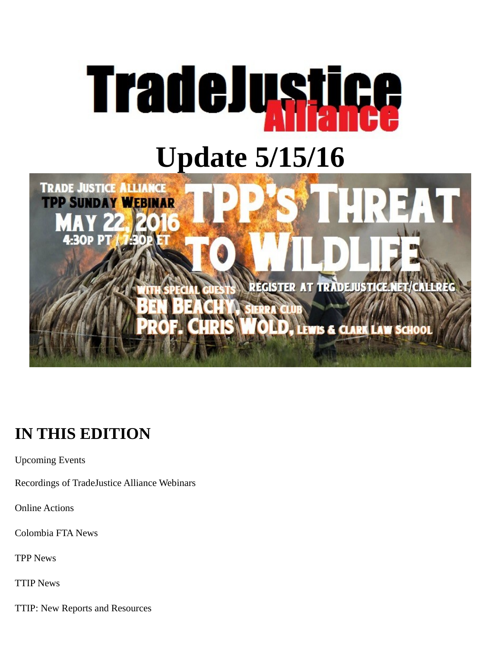



# **IN THIS EDITION**

Upcoming Events

Recordings of TradeJustice Alliance Webinars

Online Actions

Colombia FTA News

TPP News

TTIP News

TTIP: New Reports and Resources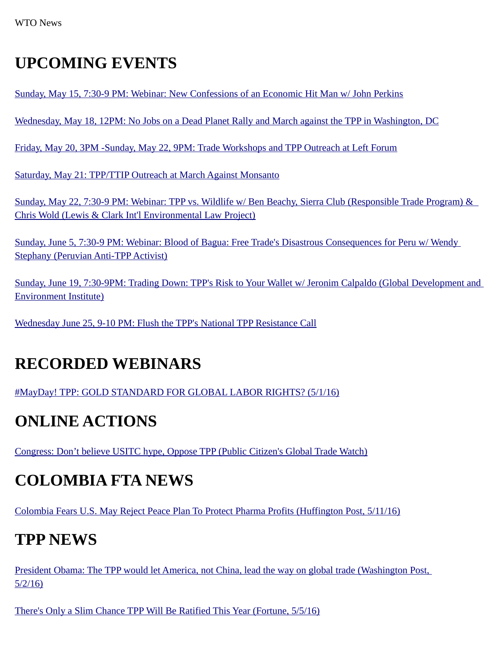#### **UPCOMING EVENTS**

[Sunday, May 15, 7:30-9 PM: Webinar: New Confessions of an Economic Hit Man w/ John Perkins](https://www.facebook.com/events/100714303673346/)

[Wednesday, May 18, 12PM: No Jobs on a Dead Planet Rally and March against the TPP in Washington, DC](https://www.facebook.com/events/1165707363460158/#)

[Friday, May 20, 3PM -Sunday, May 22, 9PM: Trade Workshops and TPP Outreach at Left Forum](https://www.facebook.com/events/1745775945701926/)

[Saturday, May 21: TPP/TTIP Outreach at March Against Monsanto](https://www.facebook.com/events/1065156520212341/)

 [Sunday, May 22, 7:30-9 PM: Webinar: TPP vs. Wildlife w/ Ben Beachy, Sierra Club \(Responsible Trade Program\) &](https://www.facebook.com/events/433964940107248/) [Chris Wold \(Lewis & Clark Int'l Environmental Law Project\)](https://www.facebook.com/events/433964940107248/)

[Sunday, June 5, 7:30-9 PM: Webinar: Blood of Bagua: Free Trade's Disastrous Consequences for Peru w/ Wendy](https://www.facebook.com/events/282596018750686/)  [Stephany \(Peruvian Anti-TPP Activist\)](https://www.facebook.com/events/282596018750686/)

[Sunday, June 19, 7:30-9PM: Trading Down: TPP's Risk to Your Wallet w/ Jeronim Calpaldo \(Global Development and](http://tradejustice.net/?page=Jeronim)  [Environment Institute\)](http://tradejustice.net/?page=Jeronim)

[Wednesday June 25, 9-10 PM: Flush the TPP's National TPP Resistance Call](https://www.facebook.com/events/959609667493050/)

#### **RECORDED WEBINARS**

[#MayDay! TPP: GOLD STANDARD FOR GLOBAL LABOR RIGHTS? \(5/1/16\)](https://youtu.be/P8nj__FFOEk?list=PL8jwwEJ9-tO_RAMNzWQY-IekxgT_wz5LX)

#### **ONLINE ACTIONS**

[Congress: Don't believe USITC hype, Oppose TPP \(Public Citizen's Global Trade Watch\)](http://action.citizen.org/p/dia/action3/common/public/?action_KEY=13180)

#### **COLOMBIA FTA NEWS**

[Colombia Fears U.S. May Reject Peace Plan To Protect Pharma Profits \(Huffington Post, 5/11/16\)](http://www.huffingtonpost.com/entry/colombia-gleevec_us_5733d4ece4b077d4d6f224ee?utm_hp_ref=worldir%3DWorldPost)

#### **TPP NEWS**

[President Obama: The TPP would let America, not China, lead the way on global trade \(Washington Post,](https://www.washingtonpost.com/opinions/president-obama-the-tpp-would-let-america-not-china-lead-the-way-on-global-trade/2016/05/02/680540e4-0fd0-11e6-93ae-50921721165d_story.html)  [5/2/16\)](https://www.washingtonpost.com/opinions/president-obama-the-tpp-would-let-america-not-china-lead-the-way-on-global-trade/2016/05/02/680540e4-0fd0-11e6-93ae-50921721165d_story.html)

[There's Only a Slim Chance TPP Will Be Ratified This Year \(Fortune, 5/5/16\)](http://fortune.com/2016/05/05/trans-pacific-partnership-ratification/)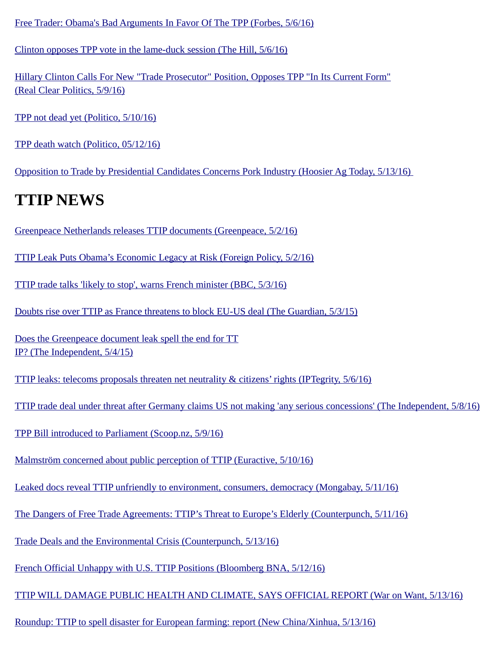[Free Trader: Obama's Bad Arguments In Favor Of The TPP \(Forbes, 5/6/16\)](http://www.forbes.com/sites/timworstall/2016/05/06/obamas-bad-arguments-in-favour-of-the-tpp/#ece9ab950d0b)

[Clinton opposes TPP vote in the lame-duck session \(The Hill, 5/6/16\)](http://thehill.com/policy/finance/trade/279076-clinton-opposes-tpp-vote-in-the-lame-duck-session)

[Hillary Clinton Calls For New "Trade Prosecutor" Position, Opposes TPP "In Its Current Form"](http://www.realclearpolitics.com/video/2016/05/09/hillary_clinton_calls_for_trade_prosecutor_to_investigate_problems_opposes_tpp_in_its_current_form.html) [\(Real Clear Politics, 5/9/16\)](http://www.realclearpolitics.com/video/2016/05/09/hillary_clinton_calls_for_trade_prosecutor_to_investigate_problems_opposes_tpp_in_its_current_form.html)

[TPP not dead yet \(Politico, 5/10/16\)](http://www.politico.com/tipsheets/morning-trade/2016/05/tpp-not-dead-yet-nz-minister-embarrassing-and-troubling-wto-subsidy-fail-tuna-wars-continue-214208#ixzz48eK4AFym)

[TPP death watch \(Politico, 05/12/16\)](http://www.politico.com/tipsheets/morning-trade/2016/05/tpp-death-watch-wto-appellate-body-soon-to-have-another-vacancy-kerlikowske-time-for-cbp-to-get-tough-214258#ixzz48eiNzvGj)

[Opposition to Trade by Presidential Candidates Concerns Pork Industry \(Hoosier Ag Today, 5/13/16\)](http://www.hoosieragtoday.com/opposition-to-trade-by-presidential-candidates-concerns-pork-industry/) 

## **TTIP NEWS**

[Greenpeace Netherlands releases TTIP documents \(Greenpeace, 5/2/16\)](http://www.greenpeace.org/international/en/press/releases/2016/Greenpeace-Netherlands-releases-TTIP-documents/)

[TTIP Leak Puts Obama's Economic Legacy at Risk \(Foreign Policy, 5/2/16\)](http://foreignpolicy.com/2016/05/02/ttip-leak-puts-obamas-economic-legacy-at-risk/)

[TTIP trade talks 'likely to stop', warns French minister \(BBC, 5/3/16\)](http://www.bbc.com/news/world-europe-36191577)

[Doubts rise over TTIP as France threatens to block EU-US deal \(The Guardian, 5/3/15\)](https://www.theguardian.com/business/2016/may/03/doubts-rise-over-ttip-as-france-threatens-to-block-eu-us-deal)

[Does the Greenpeace document leak spell the end for TT](http://www.independent.co.uk/news/business/news/ttip-leak-trade-deal-greenpeace-eu-us-tpp-is-this-the-end-a7012976.html) [IP? \(The Independent, 5/4/15\)](http://www.independent.co.uk/news/business/news/ttip-leak-trade-deal-greenpeace-eu-us-tpp-is-this-the-end-a7012976.html)

[TTIP leaks: telecoms proposals threaten net neutrality & citizens' rights \(IPTegrity, 5/6/16\)](http://www.iptegrity.com/index.php/telecoms-package/net-neutrality/1040-ttip-leaks-telecoms-proposals-threaten-net-neutrality-a-citizens-rights)

[TTIP trade deal under threat after Germany claims US not making 'any serious concessions' \(The Independent, 5/8/16\)](http://www.independent.co.uk/news/world/europe/ttip-trade-deal-under-threat-due-after-germany-claims-us-not-making-any-serious-concessions-a7019291.html)

[TPP Bill introduced to Parliament \(Scoop.nz, 5/9/16\)](http://www.scoop.co.nz/stories/PA1605/S00150/tpp-bill-introduced-to-parliament.htm)

[Malmström concerned about public perception of TTIP \(Euractive, 5/10/16\)](http://www.euractiv.com/section/trade-society/news/almstrom-concerned-about-public-perception-of-ttip/)

[Leaked docs reveal TTIP unfriendly to environment, consumers, democracy \(Mongabay, 5/11/16\)](https://news.mongabay.com/2016/05/leaked-docs-reveal-ttip-unfriendly-environment-consumers-democracy/)

[The Dangers of Free Trade Agreements: TTIP's Threat to Europe's Elderly \(Counterpunch, 5/11/16\)](http://www.counterpunch.org/2016/05/11/the-dangers-of-free-trade-agreements-ttips-threat-to-europes-elderly/)

[Trade Deals and the Environmental Crisis \(Counterpunch, 5/13/16\)](http://www.counterpunch.org/2016/05/13/trade-deals-and-the-environmental-crisis/)

[French Official Unhappy with U.S. TTIP Positions \(Bloomberg BNA, 5/12/16\)](http://www.bna.com/french-official-unhappy-n57982072278/)

[TTIP WILL DAMAGE PUBLIC HEALTH AND CLIMATE, SAYS OFFICIAL REPORT \(War on Want, 5/13/16\)](http://www.waronwant.org/media/ttip-will-damage-public-health-and-climate-says-official-report)

[Roundup: TTIP to spell disaster for European farming: report \(New China/Xinhua, 5/13/16\)](http://news.xinhuanet.com/english/2016-05/13/c_135355163.htm)